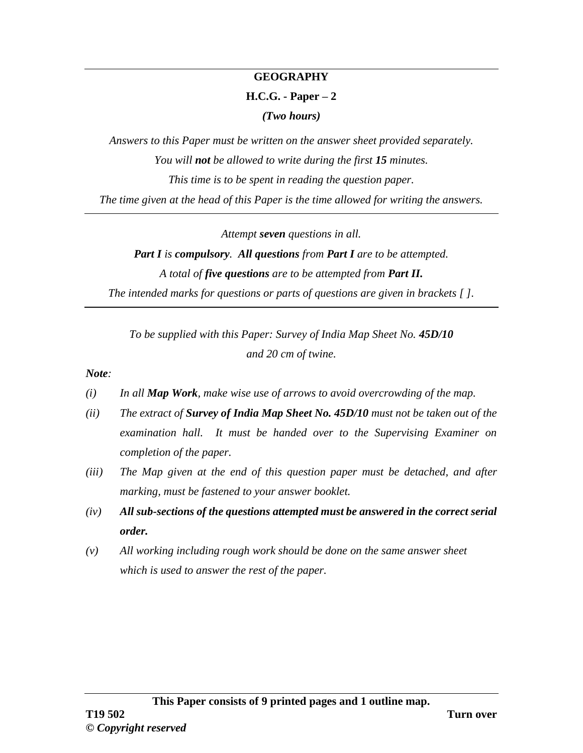#### **GEOGRAPHY**

#### **H.C.G. - Paper – 2**

*(Two hours)*

*Answers to this Paper must be written on the answer sheet provided separately. You will not be allowed to write during the first 15 minutes. This time is to be spent in reading the question paper. The time given at the head of this Paper is the time allowed for writing the answers.*

*Attempt seven questions in all.*

# *Part I is compulsory. All questions from Part I are to be attempted. A total of five questions are to be attempted from Part II.*

*The intended marks for questions or parts of questions are given in brackets [ ].*

*To be supplied with this Paper: Survey of India Map Sheet No. 45D/10 and 20 cm of twine.*

*Note:*

- *(i) In all Map Work, make wise use of arrows to avoid overcrowding of the map.*
- *(ii) The extract of Survey of India Map Sheet No. 45D/10 must not be taken out of the examination hall. It must be handed over to the Supervising Examiner on completion of the paper.*
- *(iii) The Map given at the end of this question paper must be detached, and after marking, must be fastened to your answer booklet.*
- *(iv) All sub-sections of the questions attempted must be answered in the correct serial order.*
- *(v) All working including rough work should be done on the same answer sheet which is used to answer the rest of the paper.*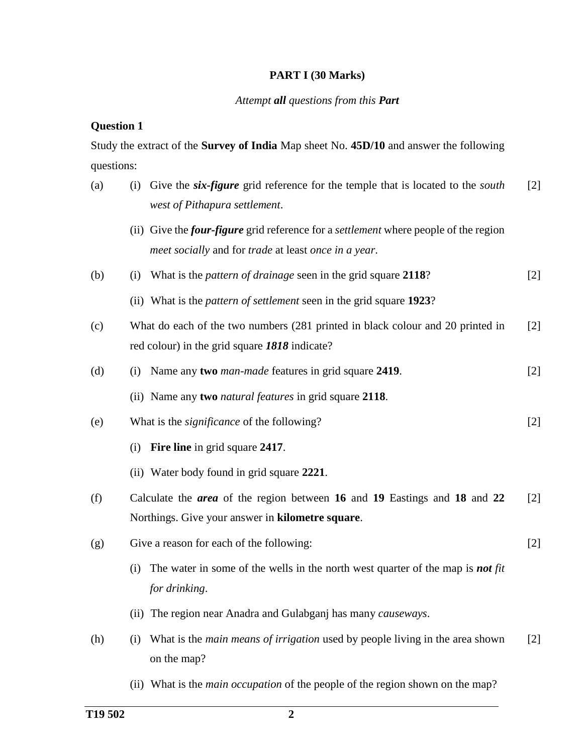## **PART I (30 Marks)**

#### *Attempt all questions from this Part*

## **Question 1**

Study the extract of the **Survey of India** Map sheet No. **45D/10** and answer the following questions:

| (a) | (i) Give the <i>six-figure</i> grid reference for the temple that is located to the <i>south</i><br>west of Pithapura settlement.                          | $\lceil 2 \rceil$ |
|-----|------------------------------------------------------------------------------------------------------------------------------------------------------------|-------------------|
|     | (ii) Give the <i>four-figure</i> grid reference for a <i>settlement</i> where people of the region<br>meet socially and for trade at least once in a year. |                   |
| (b) | What is the <i>pattern of drainage</i> seen in the grid square 2118?<br>(i)                                                                                | $[2]$             |
|     | (ii) What is the <i>pattern of settlement</i> seen in the grid square 1923?                                                                                |                   |
| (c) | What do each of the two numbers (281 printed in black colour and 20 printed in<br>red colour) in the grid square 1818 indicate?                            | [2]               |
| (d) | (i) Name any two <i>man-made</i> features in grid square 2419.                                                                                             | $[2]$             |
|     | (ii) Name any two <i>natural features</i> in grid square 2118.                                                                                             |                   |
| (e) | What is the <i>significance</i> of the following?                                                                                                          | $[2]$             |
|     | <b>Fire line</b> in grid square 2417.<br>(i)                                                                                                               |                   |
|     | (ii) Water body found in grid square 2221.                                                                                                                 |                   |
| (f) | Calculate the <i>area</i> of the region between 16 and 19 Eastings and 18 and 22<br>Northings. Give your answer in kilometre square.                       | $[2]$             |
| (g) | Give a reason for each of the following:                                                                                                                   | $[2]$             |
|     | The water in some of the wells in the north west quarter of the map is <b>not</b> fit<br>(i)<br>for drinking.                                              |                   |
|     | (ii) The region near Anadra and Gulabganj has many causeways.                                                                                              |                   |
| (h) | (i) What is the <i>main means of irrigation</i> used by people living in the area shown<br>on the map?                                                     | [2]               |

(ii) What is the *main occupation* of the people of the region shown on the map?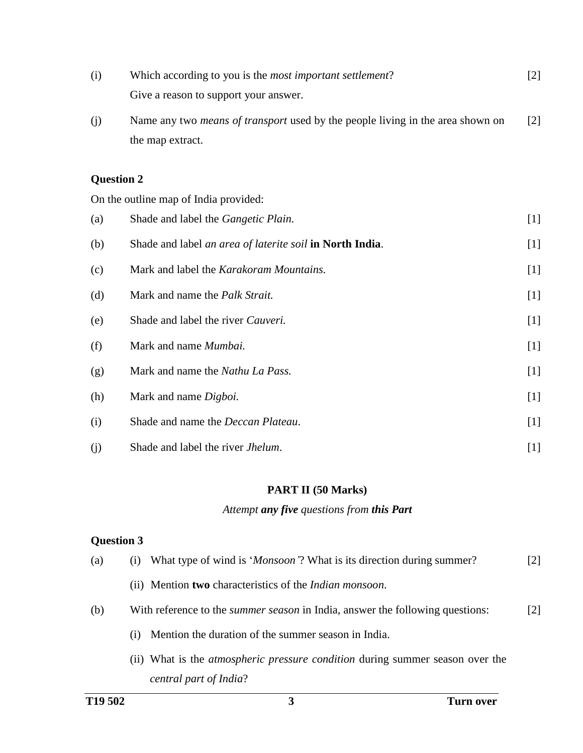| (i) | Which according to you is the <i>most important settlement</i> ? |  |
|-----|------------------------------------------------------------------|--|
|     | Give a reason to support your answer.                            |  |

(j) Name any two *means of transport* used by the people living in the area shown on the map extract. [2]

## **Question 2**

On the outline map of India provided:

| (a) | Shade and label the <i>Gangetic Plain</i> .              | $[1]$ |
|-----|----------------------------------------------------------|-------|
| (b) | Shade and label an area of laterite soil in North India. | $[1]$ |
| (c) | Mark and label the Karakoram Mountains.                  | $[1]$ |
| (d) | Mark and name the <i>Palk Strait</i> .                   | $[1]$ |
| (e) | Shade and label the river Cauveri.                       | $[1]$ |
| (f) | Mark and name <i>Mumbai</i> .                            | $[1]$ |
| (g) | Mark and name the Nathu La Pass.                         | $[1]$ |
| (h) | Mark and name Digboi.                                    | $[1]$ |
| (i) | Shade and name the Deccan Plateau.                       | $[1]$ |
| (j) | Shade and label the river <i>Jhelum</i> .                | $[1]$ |

## **PART II (50 Marks)**

## *Attempt any five questions from this Part*

## **Question 3**

| (a) | (i) What type of wind is ' <i>Monsoon</i> '? What is its direction during summer?    | $[2]$ |
|-----|--------------------------------------------------------------------------------------|-------|
|     | (ii) Mention <b>two</b> characteristics of the <i>Indian monsoon</i> .               |       |
| (b) | With reference to the <i>summer season</i> in India, answer the following questions: | [2]   |
|     | Mention the duration of the summer season in India.<br>(i)                           |       |
|     | (ii) What is the <i>atmospheric pressure condition</i> during summer season over the |       |
|     | central part of India?                                                               |       |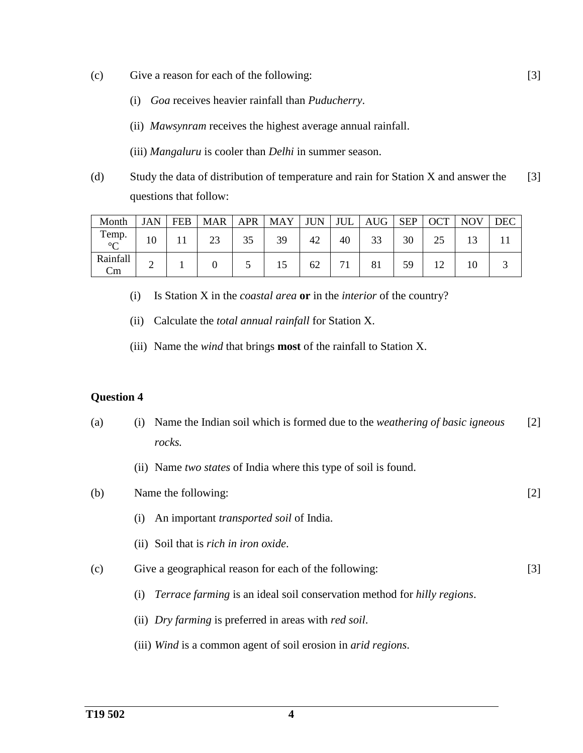- (c) Give a reason for each of the following:
	- (i) *Goa* receives heavier rainfall than *Puducherry*.
	- (ii) *Mawsynram* receives the highest average annual rainfall.
	- (iii) *Mangaluru* is cooler than *Delhi* in summer season.
- (d) Study the data of distribution of temperature and rain for Station X and answer the questions that follow: [3]

[3]

| Month                 | JAN | <b>FEB</b> | <b>MAR</b> | <b>APR</b> | <b>MAY</b> | <b>JUN</b> | JUL | <b>AUG</b> | <b>SEP</b> | <b>OCT</b> | <b>NOV</b> | <b>DEC</b> |
|-----------------------|-----|------------|------------|------------|------------|------------|-----|------------|------------|------------|------------|------------|
| Temp.<br>$\circ$<br>◡ | 10  |            | 23         | 35         | 39         | 42         | 40  | 33         | 30         | 25         |            |            |
| Rainfall<br>Cm        | ⌒   |            |            |            |            | 62         | 71  | 81         | 59         |            |            |            |

- (i) Is Station X in the *coastal area* **or** in the *interior* of the country?
- (ii) Calculate the *total annual rainfall* for Station X.
- (iii) Name the *wind* that brings **most** of the rainfall to Station X.

#### **Question 4**

- (a) (i) Name the Indian soil which is formed due to the *weathering of basic igneous rocks.* (ii) Name *two states* of India where this type of soil is found. [2] (b) Name the following: (i) An important *transported soil* of India. (ii) Soil that is *rich in iron oxide*. [2] (c) Give a geographical reason for each of the following: (i) *Terrace farming* is an ideal soil conservation method for *hilly regions*. [3]
	- (ii) *Dry farming* is preferred in areas with *red soil*.
	- (iii) *Wind* is a common agent of soil erosion in *arid regions*.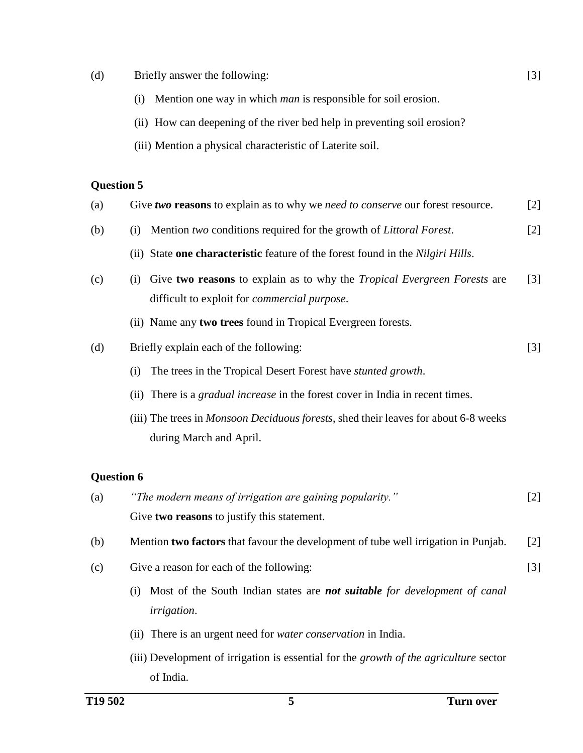- (d) Briefly answer the following:
	- (i) Mention one way in which *man* is responsible for soil erosion.
	- (ii) How can deepening of the river bed help in preventing soil erosion?
	- (iii) Mention a physical characteristic of Laterite soil.

#### **Question 5**

| (a) | Give two reasons to explain as to why we need to conserve our forest resource. | [2] |
|-----|--------------------------------------------------------------------------------|-----|
|     |                                                                                |     |

- (b) (i) Mention *two* conditions required for the growth of *Littoral Forest*. [2]
	- (ii) State **one characteristic** feature of the forest found in the *Nilgiri Hills*.
- (c) (i) Give **two reasons** to explain as to why the *Tropical Evergreen Forests* are difficult to exploit for *commercial purpose*. [3]
	- (ii) Name any **two trees** found in Tropical Evergreen forests.
- (d) Briefly explain each of the following:
	- (i) The trees in the Tropical Desert Forest have *stunted growth*.
	- (ii) There is a *gradual increase* in the forest cover in India in recent times.
	- (iii) The trees in *Monsoon Deciduous forests*, shed their leaves for about 6-8 weeks during March and April.

## **Question 6**

- (a) *"The modern means of irrigation are gaining popularity."* Give **two reasons** to justify this statement. [2]
- (b) Mention **two factors** that favour the development of tube well irrigation in Punjab. [2]
- (c) Give a reason for each of the following:
	- (i) Most of the South Indian states are *not suitable for development of canal irrigation*.
	- (ii) There is an urgent need for *water conservation* in India.
	- (iii) Development of irrigation is essential for the *growth of the agriculture* sector of India.

[3]

[3]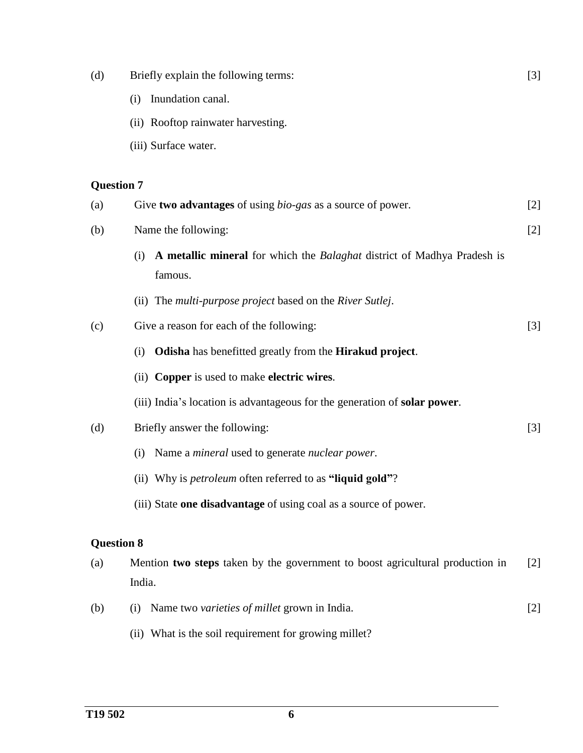| (d)               | Briefly explain the following terms:                                                             | $[3]$             |
|-------------------|--------------------------------------------------------------------------------------------------|-------------------|
|                   | Inundation canal.<br>(i)                                                                         |                   |
|                   | (ii) Rooftop rainwater harvesting.                                                               |                   |
|                   | (iii) Surface water.                                                                             |                   |
| <b>Question 7</b> |                                                                                                  |                   |
| (a)               | Give two advantages of using <i>bio-gas</i> as a source of power.                                | $[2]$             |
| (b)               | Name the following:                                                                              | $[2]$             |
|                   | A metallic mineral for which the <i>Balaghat</i> district of Madhya Pradesh is<br>(i)<br>famous. |                   |
|                   | (ii) The multi-purpose project based on the River Sutlej.                                        |                   |
| (c)               | Give a reason for each of the following:                                                         | $[3]$             |
|                   | <b>Odisha</b> has benefitted greatly from the <b>Hirakud project</b> .<br>(i)                    |                   |
|                   | (ii) Copper is used to make electric wires.                                                      |                   |
|                   | (iii) India's location is advantageous for the generation of <b>solar power</b> .                |                   |
| (d)               | Briefly answer the following:                                                                    | $[3]$             |
|                   | Name a <i>mineral</i> used to generate <i>nuclear power</i> .<br>(i)                             |                   |
|                   | (ii) Why is <i>petroleum</i> often referred to as "liquid gold"?                                 |                   |
|                   | (iii) State one disadvantage of using coal as a source of power.                                 |                   |
| <b>Question 8</b> |                                                                                                  |                   |
| (a)               | Mention two steps taken by the government to boost agricultural production in<br>India.          | $\lceil 2 \rceil$ |
| (b)               | Name two varieties of millet grown in India.<br>(i)                                              | $[2]$             |

(ii) What is the soil requirement for growing millet?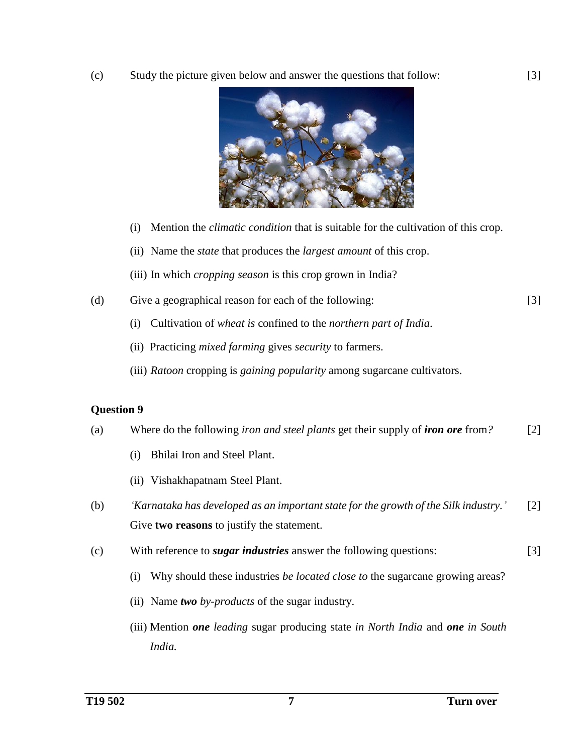(c) Study the picture given below and answer the questions that follow:



- (i) Mention the *climatic condition* that is suitable for the cultivation of this crop.
- (ii) Name the *state* that produces the *largest amount* of this crop.
- (iii) In which *cropping season* is this crop grown in India?
- (d) Give a geographical reason for each of the following:
	- (i) Cultivation of *wheat is* confined to the *northern part of India*.
	- (ii) Practicing *mixed farming* gives *security* to farmers.
	- (iii) *Ratoon* cropping is *gaining popularity* among sugarcane cultivators.

#### **Question 9**

- (a) Where do the following *iron and steel plants* get their supply of *iron ore* from*?* [2]
	- (i) Bhilai Iron and Steel Plant.
	- (ii) Vishakhapatnam Steel Plant.
- (b) *'Karnataka has developed as an important state for the growth of the Silk industry.'* Give **two reasons** to justify the statement. [2]
- (c) With reference to *sugar industries* answer the following questions: [3]
	- (i) Why should these industries *be located close to* the sugarcane growing areas?
	- (ii) Name *two by-products* of the sugar industry.
	- (iii) Mention *one leading* sugar producing state *in North India* and *one in South India.*

[3]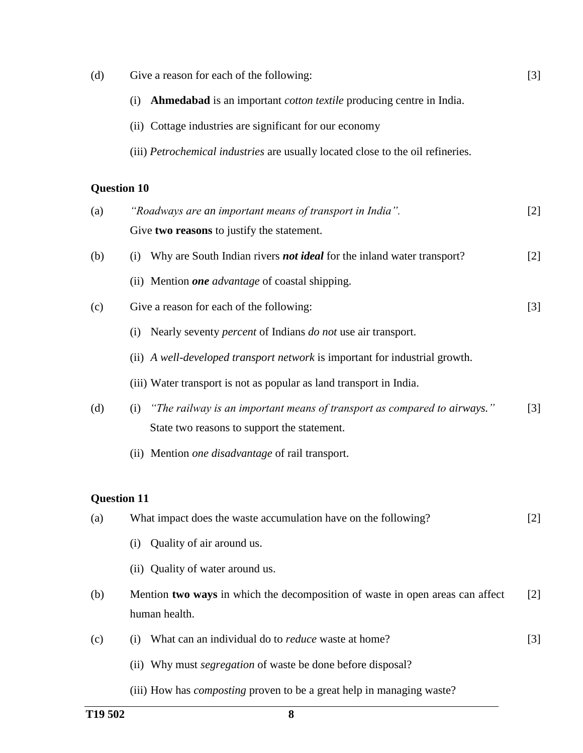| (d)                | Give a reason for each of the following:                                                                                       | $\lceil 3 \rceil$ |
|--------------------|--------------------------------------------------------------------------------------------------------------------------------|-------------------|
|                    | Ahmedabad is an important <i>cotton textile</i> producing centre in India.<br>(i)                                              |                   |
|                    | (ii) Cottage industries are significant for our economy                                                                        |                   |
|                    | (iii) Petrochemical industries are usually located close to the oil refineries.                                                |                   |
| <b>Question 10</b> |                                                                                                                                |                   |
| (a)                | "Roadways are an important means of transport in India".                                                                       | $\lceil 2 \rceil$ |
|                    | Give two reasons to justify the statement.                                                                                     |                   |
| (b)                | Why are South Indian rivers <i>not ideal</i> for the inland water transport?<br>(i)                                            | $\lceil 2 \rceil$ |
|                    | (ii) Mention <i>one advantage</i> of coastal shipping.                                                                         |                   |
| (c)                | Give a reason for each of the following:                                                                                       | [3]               |
|                    | Nearly seventy <i>percent</i> of Indians <i>do not</i> use air transport.<br>(i)                                               |                   |
|                    | (ii) A well-developed transport network is important for industrial growth.                                                    |                   |
|                    | (iii) Water transport is not as popular as land transport in India.                                                            |                   |
| (d)                | "The railway is an important means of transport as compared to airways."<br>(i)<br>State two reasons to support the statement. | $\lceil 3 \rceil$ |
|                    | (ii) Mention one disadvantage of rail transport.                                                                               |                   |
| <b>Question 11</b> |                                                                                                                                |                   |
| (a)                | What impact does the waste accumulation have on the following?                                                                 | $[2]$             |
|                    | Quality of air around us.<br>(i)                                                                                               |                   |
|                    | (ii) Quality of water around us.                                                                                               |                   |
| (b)                | Mention two ways in which the decomposition of waste in open areas can affect<br>human health.                                 | $\lceil 2 \rceil$ |
| (c)                | What can an individual do to <i>reduce</i> waste at home?<br>(i)                                                               | $[3]$             |
|                    | (ii) Why must <i>segregation</i> of waste be done before disposal?                                                             |                   |
|                    | (iii) How has <i>composting</i> proven to be a great help in managing waste?                                                   |                   |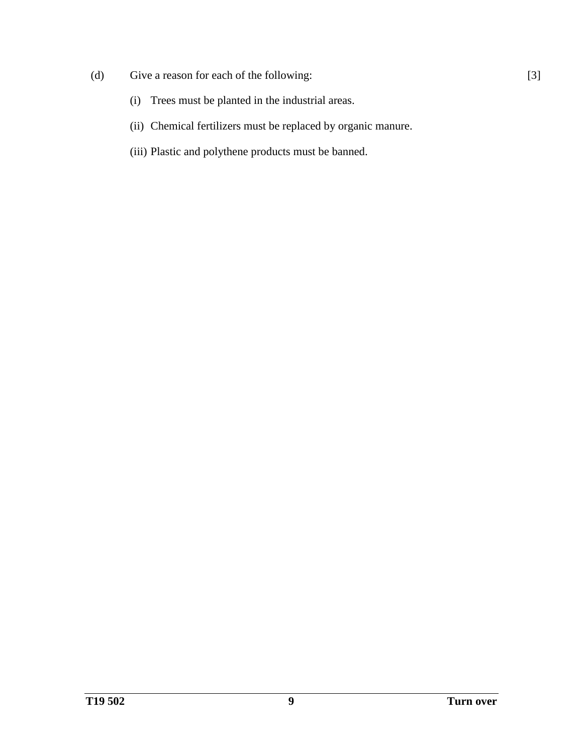- (d) Give a reason for each of the following:
	- (i) Trees must be planted in the industrial areas.
	- (ii) Chemical fertilizers must be replaced by organic manure.
	- (iii) Plastic and polythene products must be banned.